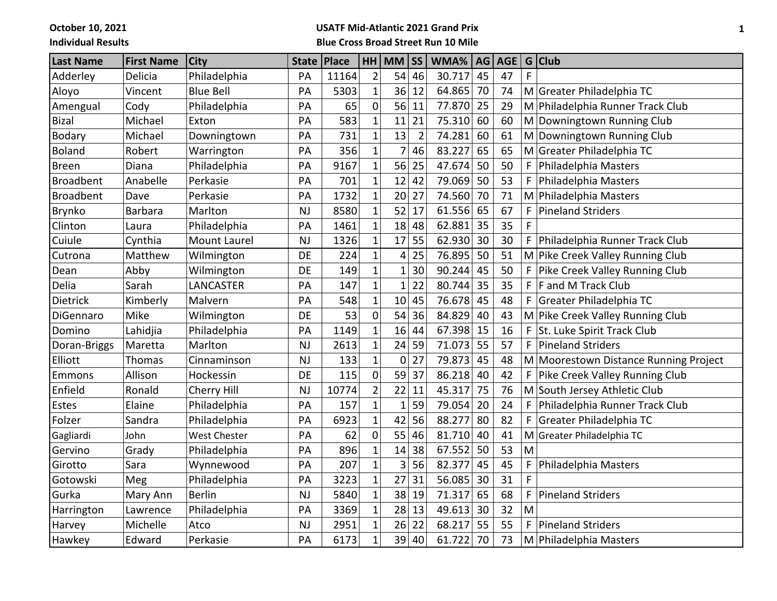**October 10, 2021**

## **Individual Results**

## **USATF Mid-Atlantic 2021 Grand Prix Blue Cross Broad Street Run 10 Mile**

| <b>Last Name</b> | <b>First Name</b> | <b>City</b>         | <b>State</b> | Place |                | HH MM          | <b>SS</b>      | WMA%      | AG | <b>AGE</b> | G | <b>Club</b>                           |
|------------------|-------------------|---------------------|--------------|-------|----------------|----------------|----------------|-----------|----|------------|---|---------------------------------------|
| Adderley         | Delicia           | Philadelphia        | PA           | 11164 | $\overline{2}$ | 54             | 46             | 30.717    | 45 | 47         | F |                                       |
| Aloyo            | Vincent           | <b>Blue Bell</b>    | PA           | 5303  | $\mathbf{1}$   | 36             | 12             | 64.865    | 70 | 74         |   | M Greater Philadelphia TC             |
| Amengual         | Cody              | Philadelphia        | PA           | 65    | $\mathbf 0$    | 56             | 11             | 77.870    | 25 | 29         | M | Philadelphia Runner Track Club        |
| <b>Bizal</b>     | Michael           | Exton               | PA           | 583   | $\mathbf{1}$   | 11             | 21             | 75.310    | 60 | 60         |   | M Downingtown Running Club            |
| Bodary           | Michael           | Downingtown         | PA           | 731   | $\mathbf{1}$   | 13             | $\overline{2}$ | 74.281    | 60 | 61         | M | Downingtown Running Club              |
| <b>Boland</b>    | Robert            | Warrington          | PA           | 356   | $\mathbf 1$    | 7              | 46             | 83.227    | 65 | 65         |   | M Greater Philadelphia TC             |
| <b>Breen</b>     | Diana             | Philadelphia        | PA           | 9167  | $\mathbf{1}$   | 56             | 25             | 47.674    | 50 | 50         | F | Philadelphia Masters                  |
| <b>Broadbent</b> | Anabelle          | Perkasie            | PA           | 701   | $\mathbf{1}$   | 12             | 42             | 79.069    | 50 | 53         | F | Philadelphia Masters                  |
| Broadbent        | Dave              | Perkasie            | PA           | 1732  | $\mathbf{1}$   | 20             | 27             | 74.560    | 70 | 71         | M | Philadelphia Masters                  |
| Brynko           | <b>Barbara</b>    | Marlton             | <b>NJ</b>    | 8580  | $\mathbf{1}$   | 52             | 17             | 61.556    | 65 | 67         | F | <b>Pineland Striders</b>              |
| Clinton          | Laura             | Philadelphia        | PA           | 1461  | $\mathbf{1}$   | 18             | 48             | 62.881    | 35 | 35         | F |                                       |
| Cuiule           | Cynthia           | <b>Mount Laurel</b> | <b>NJ</b>    | 1326  | $\mathbf{1}$   | 17             | 55             | 62.930    | 30 | 30         | F | Philadelphia Runner Track Club        |
| Cutrona          | Matthew           | Wilmington          | DE           | 224   | $\mathbf{1}$   | 4              | 25             | 76.895    | 50 | 51         |   | M Pike Creek Valley Running Club      |
| Dean             | Abby              | Wilmington          | <b>DE</b>    | 149   | $\mathbf{1}$   | $\mathbf{1}$   | 30             | 90.244    | 45 | 50         | F | Pike Creek Valley Running Club        |
| Delia            | Sarah             | LANCASTER           | PA           | 147   | $\mathbf{1}$   | $\overline{1}$ | 22             | 80.744    | 35 | 35         | F | F and M Track Club                    |
| Dietrick         | Kimberly          | Malvern             | PA           | 548   | $\mathbf{1}$   | 10             | 45             | 76.678    | 45 | 48         | F | Greater Philadelphia TC               |
| DiGennaro        | Mike              | Wilmington          | DE           | 53    | $\mathbf 0$    | 54             | 36             | 84.829    | 40 | 43         |   | M Pike Creek Valley Running Club      |
| Domino           | Lahidjia          | Philadelphia        | PA           | 1149  | $\mathbf{1}$   | 16             | 44             | 67.398 15 |    | 16         | F | St. Luke Spirit Track Club            |
| Doran-Briggs     | Maretta           | Marlton             | <b>NJ</b>    | 2613  | $\mathbf{1}$   | 24             | 59             | 71.073    | 55 | 57         | F | <b>Pineland Striders</b>              |
| Elliott          | Thomas            | Cinnaminson         | <b>NJ</b>    | 133   | $\mathbf{1}$   | $\mathbf 0$    | 27             | 79.873    | 45 | 48         |   | M Moorestown Distance Running Project |
| Emmons           | Allison           | Hockessin           | <b>DE</b>    | 115   | $\mathbf 0$    | 59             | 37             | 86.218    | 40 | 42         | F | Pike Creek Valley Running Club        |
| Enfield          | Ronald            | Cherry Hill         | <b>NJ</b>    | 10774 | $\overline{2}$ | 22             | 11             | 45.317    | 75 | 76         |   | M South Jersey Athletic Club          |
| Estes            | Elaine            | Philadelphia        | PA           | 157   | $\mathbf{1}$   | $\mathbf{1}$   | 59             | 79.054    | 20 | 24         | F | Philadelphia Runner Track Club        |
| Folzer           | Sandra            | Philadelphia        | PA           | 6923  | $\mathbf{1}$   | 42             | 56             | 88.277    | 80 | 82         | F | Greater Philadelphia TC               |
| Gagliardi        | John              | <b>West Chester</b> | PA           | 62    | $\mathbf 0$    | 55             | 46             | 81.710    | 40 | 41         |   | M Greater Philadelphia TC             |
| Gervino          | Grady             | Philadelphia        | PA           | 896   | $\mathbf{1}$   | 14             | 38             | 67.552    | 50 | 53         | M |                                       |
| Girotto          | Sara              | Wynnewood           | PA           | 207   | $\mathbf{1}$   | 3              | 56             | 82.377    | 45 | 45         | F | Philadelphia Masters                  |
| Gotowski         | Meg               | Philadelphia        | PA           | 3223  | $\mathbf{1}$   | 27             | 31             | 56.085    | 30 | 31         | F |                                       |
| Gurka            | Mary Ann          | <b>Berlin</b>       | <b>NJ</b>    | 5840  | $\mathbf{1}$   | 38             | 19             | 71.317    | 65 | 68         | F | <b>Pineland Striders</b>              |
| Harrington       | Lawrence          | Philadelphia        | PA           | 3369  | $\mathbf{1}$   | 28             | 13             | 49.613    | 30 | 32         | M |                                       |
| Harvey           | Michelle          | Atco                | <b>NJ</b>    | 2951  | $\mathbf{1}$   | 26             | 22             | 68.217    | 55 | 55         | F | <b>Pineland Striders</b>              |
| Hawkey           | Edward            | Perkasie            | PA           | 6173  | $\mathbf{1}$   | 39             | 40             | 61.722    | 70 | 73         |   | M   Philadelphia Masters              |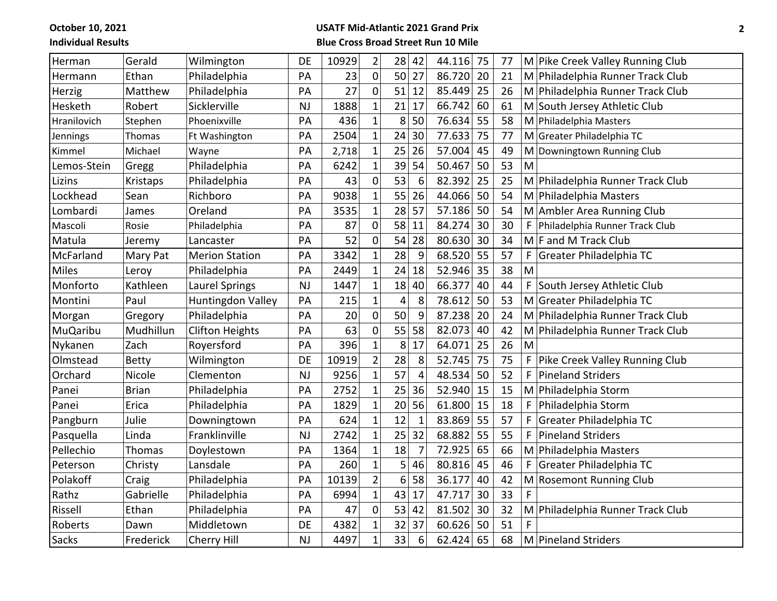**October 10, 2021 Individual Results**

## **USATF Mid-Atlantic 2021 Grand Prix Blue Cross Broad Street Run 10 Mile**

| Herman          | Gerald       | Wilmington             | DE        | 10929 | $\overline{2}$ | 28 | 42             | 44.116 75 |    | 77 |   | M Pike Creek Valley Running Club |
|-----------------|--------------|------------------------|-----------|-------|----------------|----|----------------|-----------|----|----|---|----------------------------------|
| Hermann         | Ethan        | Philadelphia           | PA        | 23    | $\mathbf 0$    |    | 50 27          | 86.720    | 20 | 21 |   | M Philadelphia Runner Track Club |
| Herzig          | Matthew      | Philadelphia           | PA        | 27    | $\mathbf 0$    | 51 | 12             | 85.449    | 25 | 26 |   | M Philadelphia Runner Track Club |
| Hesketh         | Robert       | Sicklerville           | NJ        | 1888  | $\mathbf 1$    | 21 | 17             | 66.742    | 60 | 61 |   | M South Jersey Athletic Club     |
| Hranilovich     | Stephen      | Phoenixville           | PA        | 436   | $\mathbf{1}$   | 8  | 50             | 76.634    | 55 | 58 |   | M Philadelphia Masters           |
| Jennings        | Thomas       | Ft Washington          | PA        | 2504  | $\mathbf{1}$   | 24 | 30             | 77.633    | 75 | 77 |   | M Greater Philadelphia TC        |
| Kimmel          | Michael      | Wayne                  | PA        | 2,718 | $\mathbf{1}$   | 25 | 26             | 57.004    | 45 | 49 |   | M Downingtown Running Club       |
| Lemos-Stein     | Gregg        | Philadelphia           | PA        | 6242  | $\mathbf{1}$   | 39 | 54             | 50.467    | 50 | 53 | M |                                  |
| Lizins          | Kristaps     | Philadelphia           | PA        | 43    | $\mathbf 0$    | 53 | 6              | 82.392    | 25 | 25 |   | M Philadelphia Runner Track Club |
| Lockhead        | Sean         | Richboro               | PA        | 9038  | $\mathbf{1}$   | 55 | 26             | 44.066    | 50 | 54 |   | M Philadelphia Masters           |
| Lombardi        | James        | Oreland                | PA        | 3535  | $\mathbf{1}$   | 28 | 57             | 57.186    | 50 | 54 |   | M Ambler Area Running Club       |
| Mascoli         | Rosie        | Philadelphia           | PA        | 87    | $\pmb{0}$      | 58 | 11             | 84.274    | 30 | 30 | F | Philadelphia Runner Track Club   |
| Matula          | Jeremy       | Lancaster              | PA        | 52    | 0              | 54 | 28             | 80.630    | 30 | 34 |   | $M$ F and M Track Club           |
| McFarland       | Mary Pat     | <b>Merion Station</b>  | PA        | 3342  | $\mathbf{1}$   | 28 | 9              | 68.520    | 55 | 57 | F | Greater Philadelphia TC          |
| Miles           | Leroy        | Philadelphia           | PA        | 2449  | $\mathbf{1}$   | 24 | 18             | 52.946    | 35 | 38 | M |                                  |
| Monforto        | Kathleen     | Laurel Springs         | NJ        | 1447  | $\mathbf{1}$   | 18 | 40             | 66.377    | 40 | 44 | F | South Jersey Athletic Club       |
| Montini         | Paul         | Huntingdon Valley      | PA        | 215   | $\mathbf{1}$   | 4  | 8              | 78.612    | 50 | 53 |   | M Greater Philadelphia TC        |
| Morgan          | Gregory      | Philadelphia           | PA        | 20    | $\mathbf 0$    | 50 | 9              | 87.238    | 20 | 24 |   | M Philadelphia Runner Track Club |
| <b>MuQaribu</b> | Mudhillun    | <b>Clifton Heights</b> | PA        | 63    | $\mathbf 0$    | 55 | 58             | 82.073    | 40 | 42 |   | M Philadelphia Runner Track Club |
| Nykanen         | Zach         | Royersford             | PA        | 396   | $\mathbf{1}$   | 8  | 17             | 64.071    | 25 | 26 | M |                                  |
| Olmstead        | <b>Betty</b> | Wilmington             | DE        | 10919 | $\overline{2}$ | 28 | 8              | 52.745    | 75 | 75 | F | Pike Creek Valley Running Club   |
| Orchard         | Nicole       | Clementon              | NJ        | 9256  | $\mathbf{1}$   | 57 | $\overline{4}$ | 48.534    | 50 | 52 | F | Pineland Striders                |
| Panei           | <b>Brian</b> | Philadelphia           | PA        | 2752  | $\mathbf{1}$   | 25 | 36             | 52.940    | 15 | 15 |   | M Philadelphia Storm             |
| Panei           | Erica        | Philadelphia           | PA        | 1829  | $\mathbf{1}$   | 20 | 56             | 61.800    | 15 | 18 | F | Philadelphia Storm               |
| Pangburn        | Julie        | Downingtown            | PA        | 624   | $\mathbf{1}$   | 12 | $\mathbf{1}$   | 83.869    | 55 | 57 | F | Greater Philadelphia TC          |
| Pasquella       | Linda        | Franklinville          | <b>NJ</b> | 2742  | $\mathbf{1}$   | 25 | 32             | 68.882    | 55 | 55 | F | Pineland Striders                |
| Pellechio       | Thomas       | Doylestown             | PA        | 1364  | $\mathbf{1}$   | 18 | $\overline{7}$ | 72.925    | 65 | 66 |   | M Philadelphia Masters           |
| Peterson        | Christy      | Lansdale               | PA        | 260   | $\mathbf{1}$   | 5  | 46             | 80.816    | 45 | 46 | F | Greater Philadelphia TC          |
| Polakoff        | Craig        | Philadelphia           | PA        | 10139 | $\overline{2}$ | 6  | 58             | 36.177    | 40 | 42 |   | M Rosemont Running Club          |
| Rathz           | Gabrielle    | Philadelphia           | PA        | 6994  | $\mathbf{1}$   | 43 | 17             | 47.717    | 30 | 33 | F |                                  |
| Rissell         | Ethan        | Philadelphia           | PA        | 47    | $\mathbf 0$    | 53 | 42             | 81.502    | 30 | 32 |   | M Philadelphia Runner Track Club |
| Roberts         | Dawn         | Middletown             | <b>DE</b> | 4382  | $\overline{1}$ | 32 | 37             | 60.626    | 50 | 51 |   |                                  |
| <b>Sacks</b>    | Frederick    | Cherry Hill            | NJ        | 4497  | $\mathbf{1}$   | 33 | 6              | 62.424    | 65 | 68 |   | M Pineland Striders              |
|                 |              |                        |           |       |                |    |                |           |    |    |   |                                  |